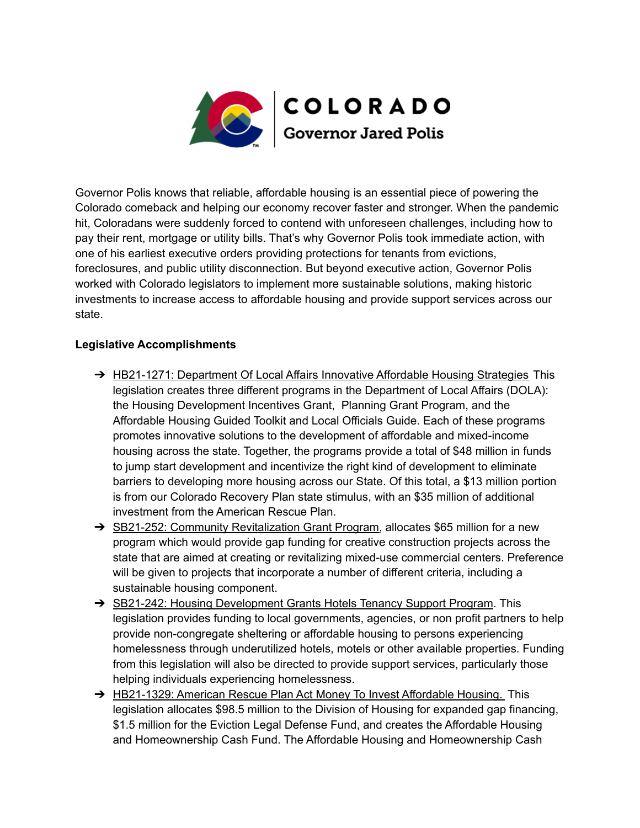

Governor Polis knows that reliable, affordable housing is an essential piece of powering the Colorado comeback and helping our economy recover faster and stronger. When the pandemic hit, Coloradans were suddenly forced to contend with unforeseen challenges, including how to pay their rent, mortgage or utility bills. That's why Governor Polis took immediate action, with one of his earliest executive orders providing protections for tenants from evictions, foreclosures, and public utility disconnection. But beyond executive action, Governor Polis worked with Colorado legislators to implement more sustainable solutions, making historic investments to increase access to affordable housing and provide support services across our state.

## **Legislative Accomplishments**

- → HB21-1271: Department Of Local Affairs Innovative Affordable Housing Strategies This legislation creates three different programs in the Department of Local Affairs (DOLA): the Housing Development Incentives Grant, Planning Grant Program, and the Affordable Housing Guided Toolkit and Local Officials Guide. Each of these programs promotes innovative solutions to the development of affordable and mixed-income housing across the state. Together, the programs provide a total of \$48 million in funds to jump start development and incentivize the right kind of development to eliminate barriers to developing more housing across our State. Of this total, a \$13 million portion is from our Colorado Recovery Plan state stimulus, with an \$35 million of additional investment from the American Rescue Plan.
- ➔ SB21-252: Community Revitalization Grant Program, allocates \$65 million for a new program which would provide gap funding for creative construction projects across the state that are aimed at creating or revitalizing mixed-use commercial centers. Preference will be given to projects that incorporate a number of different criteria, including a sustainable housing component.
- → SB21-242: Housing Development Grants Hotels Tenancy Support Program. This legislation provides funding to local governments, agencies, or non profit partners to help provide non-congregate sheltering or affordable housing to persons experiencing homelessness through underutilized hotels, motels or other available properties. Funding from this legislation will also be directed to provide support services, particularly those helping individuals experiencing homelessness.
- → HB21-1329: American Rescue Plan Act Money To Invest Affordable Housing. This legislation allocates \$98.5 million to the Division of Housing for expanded gap financing, \$1.5 million for the Eviction Legal Defense Fund, and creates the Affordable Housing and Homeownership Cash Fund. The Affordable Housing and Homeownership Cash